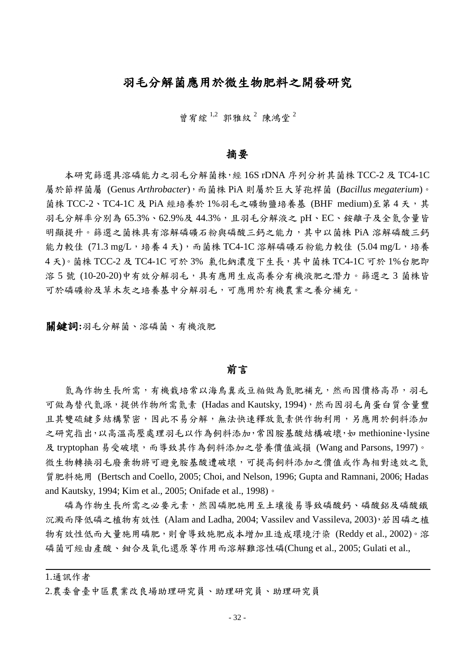# 羽毛分解菌應用於微生物肥料之開發研究

曾宥綜<sup>1,2</sup> 郭雅紋<sup>2</sup> 陳鴻堂<sup>2</sup>

### 摘要

本研究篩選具溶磷能力之羽毛分解菌株,經 16S rDNA 序列分析其菌株 TCC-2 及 TC4-1C 屬於節桿菌屬 (Genus *Arthrobacter*),而菌株 PiA 則屬於巨大芽孢桿菌 (*Bacillus megaterium*)。 菌株 TCC-2、TC4-1C 及 PiA 經培養於 1%羽毛之礦物鹽培養基 (BHF medium)至第4天,其 羽毛分解率分別為 65.3%、62.9%及 44.3%,且羽毛分解液之 pH、EC、銨離子及全氮含量皆 明顯提升。篩選之菌株具有溶解磷礦石粉與磷酸三鈣之能力,其中以菌株 PiA 溶解磷酸三鈣 能力較佳  $(71.3 \text{ mg/L} \cdot \text{h} \cdot \text{m} \cdot \text{m} \cdot \text{m} \cdot \text{m} \cdot \text{m} \cdot \text{m} \cdot \text{m} \cdot \text{m} \cdot \text{m} \cdot \text{m} \cdot \text{m} \cdot \text{m} \cdot \text{m} \cdot \text{m} \cdot \text{m} \cdot \text{m} \cdot \text{m} \cdot \text{m} \cdot \text{m} \cdot \text{m} \cdot \text{m} \cdot \text{m} \cdot \text{m} \cdot \text{m} \cdot \text{m} \cdot \text{m} \cdot \text{m} \cdot \text{m}$ 4天)。菌株 TCC-2 及 TC4-1C 可於 3% 氯化鈉濃度下生長, 其中菌株 TC4-1C 可於 1%台肥即 溶 5 號 (10-20-20)中有效分解羽毛,具有應用生成高養分有機液肥之潛力。篩選之 3 菌株皆 可於磷礦粉及草木灰之培養基中分解羽毛,可應用於有機農業之養分補充。

關鍵詞**:**羽毛分解菌、溶磷菌、有機液肥

#### 前言

氮為作物生長所需,有機栽培常以海鳥糞或豆粕做為氮肥補充,然而因價格高昂,羽毛 可做為替代氮源,提供作物所需氮素 (Hadas and Kautsky, 1994),然而因羽毛角蛋白質含量豐 且其雙硫鍵多結構緊密,因此不易分解,無法快速釋放氮素供作物利用,另應用於飼料添加 之研究指出,以高溫高壓處理羽毛以作為飼料添加,常因胺基酸結構破壞,如 methionine、lysine 及 tryptophan 易受破壞,而導致其作為飼料添加之營養價值減損 (Wang and Parsons, 1997)。 微生物轉換羽毛廢棄物將可避免胺基酸遭破壞,可提高飼料添加之價值或作為相對速效之氮 質肥料施用 (Bertsch and Coello, 2005; Choi, and Nelson, 1996; Gupta and Ramnani, 2006; Hadas and Kautsky, 1994; Kim et al., 2005; Onifade et al., 1998)。

磷為作物生長所需之必要元素,然因磷肥施用至土壤後易導致磷酸鈣、磷酸鋁及磷酸鐵 沉澱而降低磷之植物有效性 (Alam and Ladha, 2004; Vassilev and Vassileva, 2003),若因磷之植 物有效性低而大量施用磷肥,則會導致施肥成本增加且造成環境汙染 (Reddy et al., 2002)。溶 磷菌可經由產酸、鉗合及氧化還原等作用而溶解難溶性磷(Chung et al., 2005; Gulati et al.,

1.通訊作者

<sup>2.</sup>農委會臺中區農業改良場助理研究員、助理研究員、助理研究員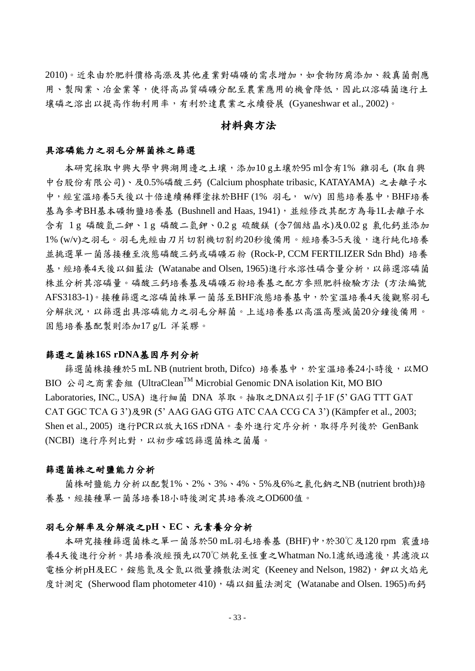2010)。近來由於肥料價格高漲及其他產業對磷礦的需求增加,如食物防腐添加、殺真菌劑應 用、製陶業、冶金業等,使得高品質磷礦分配至農業應用的機會降低,因此以溶磷菌進行土 壤磷之溶出以提高作物利用率,有利於達農業之永續發展 (Gyaneshwar et al., 2002)。

# 材料與方法

#### 具溶磷能力之羽毛分解菌株之篩選

本研究採取中興大學中興湖周邊之土壤,添加10 g土壤於95 ml含有1% 雞羽毛 (取自興 中台股份有限公司)、及0.5%磷酸三鈣 (Calcium phosphate tribasic, KATAYAMA) 之去離子水 中,經室溫培養5天後以十倍連續稀釋塗抹於BHF (1% 羽毛, w/v) 固態培養基中, BHF培養 基為參考BH基本礦物鹽培養基 (Bushnell and Haas, 1941), 並經修改其配方為每1L去離子水 含有 1 g 磷酸氫二鉀、1 g 磷酸二氫鉀、0.2 g 硫酸鎂 (含7個結晶水)及0.02 g 氯化鈣並添加 1% (w/v)之羽毛。羽毛先經由刀片切割機切割約20秒後備用。經培養3-5天後,進行純化培養 並挑選單一菌落接種至液態磷酸三鈣或磷礦石粉 (Rock-P, CCM FERTILIZER Sdn Bhd) 培養 基,經培養4天後以鉬藍法 (Watanabe and Olsen, 1965)進行水溶性磷含量分析,以篩選溶磷菌 株並分析其溶磷量。磷酸三鈣培養基及磷礦石粉培養基之配方參照肥料檢驗方法 (方法編號 AFS3183-1)。接種篩選之溶磷菌株單一菌落至BHF液態培養基中,於室溫培養4天後觀察羽毛 分解狀況,以篩選出具溶磷能力之羽毛分解菌。上述培養基以高溫高壓滅菌20分鐘後備用。 固態培養基配製則添加17 g/L 洋菜膠。

#### 篩選之菌株**16S rDNA**基因序列分析

篩選菌株接種於5 mL NB (nutrient broth, Difco) 培養基中,於室溫培養24小時後,以MO BIO 公司之商業套組 (UltraClean<sup>TM</sup> Microbial Genomic DNA isolation Kit, MO BIO Laboratories, INC., USA) 進行細菌 DNA 萃取。抽取之DNA以引子1F (5' GAG TTT GAT CAT GGC TCA G 3')及9R (5' AAG GAG GTG ATC CAA CCG CA 3') (Kämpfer et al., 2003; Shen et al., 2005) 進行PCR以放大16S rDNA。委外進行定序分析,取得序列後於 GenBank (NCBI) 進行序列比對,以初步確認篩選菌株之菌屬。

#### 篩選菌株之耐鹽能力分析

菌株耐鹽能力分析以配製1%、2%、3%、4%、5%及6%之氯化鈉之NB (nutrient broth)培 養基,經接種單一菌落培養18小時後測定其培養液之OD600值。

#### 羽毛分解率及分解液之**pH**、**EC**、元素養分分析

本研究接種篩選菌株之單一菌落於50 mL羽毛培養基 (BHF)中,於30℃及120 rpm 震盪培 養4天後進行分析。其培養液經預先以70℃烘乾至恆重之Whatman No.1濾紙過濾後,其濾液以 電極分析pH及EC,銨態氮及全氮以微量擴散法測定 (Keeney and Nelson, 1982), 鉀以火焰光 度計測定 (Sherwood flam photometer 410),磷以鉬藍法測定 (Watanabe and Olsen. 1965)而鈣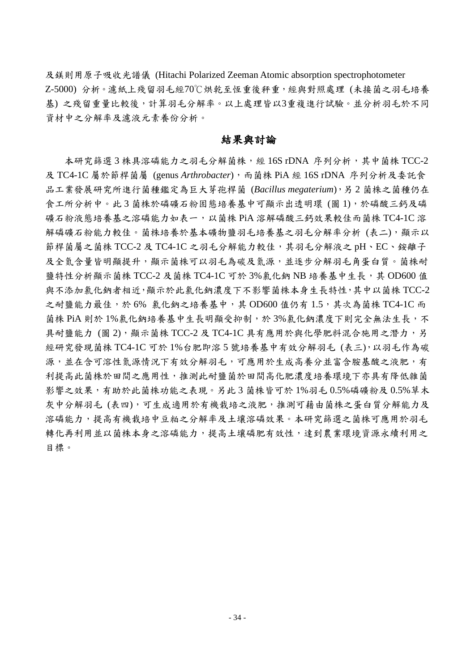及鎂則用原子吸收光譜儀 (Hitachi Polarized Zeeman Atomic absorption spectrophotometer Z-5000) 分析。濾紙上殘留羽毛經70℃烘乾至恆重後秤重,經與對照處理 (未接菌之羽毛培養 基) 之殘留重量比較後,計算羽毛分解率。以上處理皆以3重複進行試驗。並分析羽毛於不同 資材中之分解率及濾液元素養份分析。

## 結果與討論

本研究篩選3株具溶磷能力之羽毛分解菌株,經 16S rDNA 序列分析,其中菌株 TCC-2 及 TC4-1C 屬於節桿菌屬 (genus *Arthrobacter*),而菌株 PiA 經 16S rDNA 序列分析及委託食 品工業發展研究所進行菌種鑑定為巨大芽孢桿菌 (*Bacillus megaterium*),另 2 菌株之菌種仍在 食工所分析中。此 3 菌株於磷礦石粉固態培養基中可顯示出透明環 (圖 1),於磷酸三鈣及磷 礦石粉液態培養基之溶磷能力如表一,以菌株 PiA 溶解磷酸三鈣效果較佳而菌株 TC4-1C 溶 解磷礦石粉能力較佳。菌株培養於基本礦物鹽羽毛培養基之羽毛分解率分析 (表二),顯示以 節桿菌屬之菌株 TCC-2 及 TC4-1C 之羽毛分解能力較佳,其羽毛分解液之 pH、EC、銨離子 及全氮含量皆明顯提升,顯示菌株可以羽毛為碳及氮源,並逐步分解羽毛角蛋白質。菌株耐 鹽特性分析顯示菌株 TCC-2 及菌株 TC4-1C 可於 3% 氯化鈉 NB 培養基中生長,其 OD600 值 與不添加氯化鈉者相近,顯示於此氯化鈉濃度下不影響菌株本身生長特性,其中以菌株 TCC-2 之耐鹽能力最佳,於 6% 氯化鈉之培養基中,其 OD600 值仍有 1.5,其次為菌株 TC4-1C 而 菌株 PiA 則於 1%氯化鈉培養基中生長明顯受抑制,於 3%氯化鈉濃度下則完全無法生長,不 具耐鹽能力 (圖 2),顯示菌株 TCC-2 及 TC4-1C 具有應用於與化學肥料混合施用之潛力,另 經研究發現菌株 TC4-1C 可於 1%台肥即溶 5 號培養基中有效分解羽毛 (表三),以羽毛作為碳 源,並在含可溶性氮源情況下有效分解羽毛,可應用於生成高養分並富含胺基酸之液肥,有 利提高此菌株於田間之應用性,推測此耐鹽菌於田間高化肥濃度培養環境下亦具有降低雜菌 影響之效果,有助於此菌株功能之表現。另此 3 菌株皆可於 1%羽毛 0.5%磷礦粉及 0.5%草木 灰中分解羽毛 (表四),可生成適用於有機栽培之液肥,推測可藉由菌株之蛋白質分解能力及 溶磷能力,提高有機栽培中豆粕之分解率及土壤溶磷效果。本研究篩選之菌株可應用於羽毛 轉化再利用並以菌株本身之溶磷能力,提高土壤磷肥有效性,達到農業環境資源永續利用之 目標。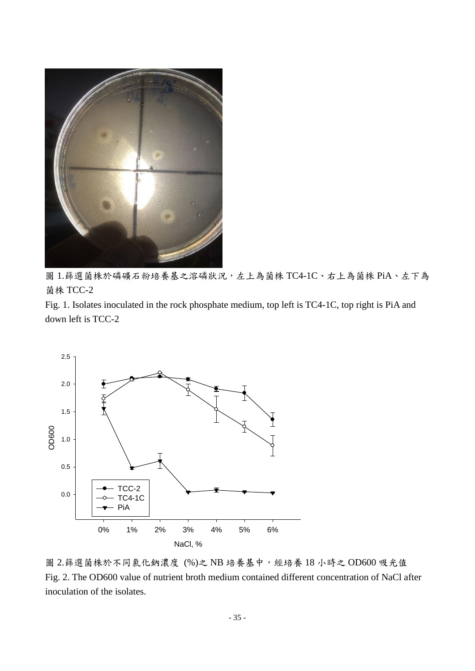

圖 1.篩選菌株於磷礦石粉培養基之溶磷狀況,左上為菌株 TC4-1C、右上為菌株 PiA、左下為 菌株 TCC-2

Fig. 1. Isolates inoculated in the rock phosphate medium, top left is TC4-1C, top right is PiA and down left is TCC-2



圖 2.篩選菌株於不同氯化鈉濃度 (%)之 NB 培養基中,經培養 18 小時之 OD600 吸光值 Fig. 2. The OD600 value of nutrient broth medium contained different concentration of NaCl after inoculation of the isolates.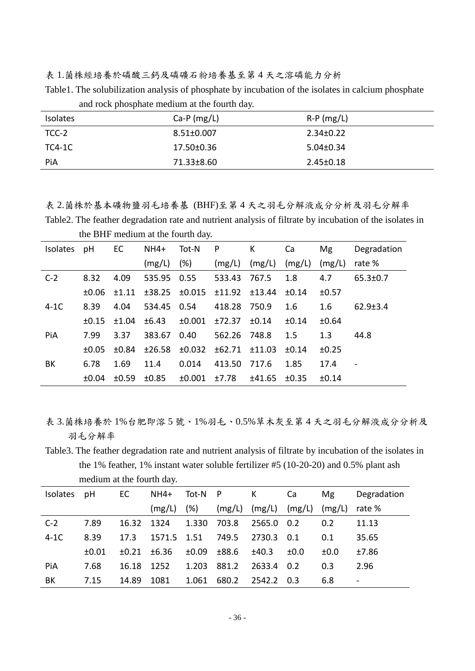表 1.菌株經培養於磷酸三鈣及磷礦石粉培養基至第 4 天之溶磷能力分析

Table1. The solubilization analysis of phosphate by incubation of the isolates in calcium phosphate and rock phosphate medium at the fourth day.

| <b>Isolates</b> | Ca-P $(mg/L)$    | $R-P$ (mg/L)    |
|-----------------|------------------|-----------------|
| TCC-2           | $8.51 \pm 0.007$ | $2.34 \pm 0.22$ |
| TC4-1C          | 17.50±0.36       | $5.04 \pm 0.34$ |
| PiA             | 71.33±8.60       | $2.45 \pm 0.18$ |
|                 |                  |                 |

表 2.菌株於基本礦物鹽羽毛培養基 (BHF)至第 4 天之羽毛分解液成分分析及羽毛分解率

Table2. The feather degradation rate and nutrient analysis of filtrate by incubation of the isolates in the BHF medium at the fourth day.

| <b>Isolates</b> | pH         | EC    | $NH4+$      | Tot-N             | P            | К        | Ca     | Mg     | Degradation              |
|-----------------|------------|-------|-------------|-------------------|--------------|----------|--------|--------|--------------------------|
|                 |            |       | (mg/L)      | $(\%)$            | (mg/L)       | (mg/L)   | (mg/L) | (mg/L) | rate %                   |
| $C-2$           | 8.32       | 4.09  | 535.95 0.55 |                   | 533.43       | 767.5    | 1.8    | 4.7    | $65.3 \pm 0.7$           |
|                 | $\pm 0.06$ | ±1.11 |             | $±38.25$ $±0.015$ | ±11.92       | ±13.44   | ±0.14  | ±0.57  |                          |
| $4-1C$          | 8.39       | 4.04  | 534.45 0.54 |                   | 418.28       | 750.9    | 1.6    | 1.6    | $62.9 \pm 3.4$           |
|                 | $\pm 0.15$ | ±1.04 | ±6.43       | ±0.001            | ±72.37       | ±0.14    | ±0.14  | ±0.64  |                          |
| PiA             | 7.99       | 3.37  | 383.67      | 0.40              | 562.26 748.8 |          | 1.5    | 1.3    | 44.8                     |
|                 | $+0.05$    | ±0.84 | ±26.58      | ±0.032            | ±62.71       | $+11.03$ | ±0.14  | ±0.25  |                          |
| BK              | 6.78       | 1.69  | 11.4        | 0.014             | 413.50       | 717.6    | 1.85   | 17.4   | $\overline{\phantom{a}}$ |
|                 | ±0.04      | ±0.59 | ±0.85       | ±0.001            | ±7.78        | ±41.65   | ±0.35  | ±0.14  |                          |

表 3.菌株培養於 1%台肥即溶 5 號、1%羽毛、0.5%草木灰至第 4 天之羽毛分解液成分分析及 羽毛分解率

Table3. The feather degradation rate and nutrient analysis of filtrate by incubation of the isolates in the 1% feather, 1% instant water soluble fertilizer #5 (10-20-20) and 0.5% plant ash medium at the fourth day.

| <b>Isolates</b> | pH    | EC.   | $NH4+$      | Tot-N P    |        | K      | Ca     | Mg     | Degradation |
|-----------------|-------|-------|-------------|------------|--------|--------|--------|--------|-------------|
|                 |       |       | (mg/L)      | (%)        | (mg/L) | (mg/L) | (mg/L) | (mg/L) | rate %      |
| $C-2$           | 7.89  | 16.32 | 1324        | 1.330      | 703.8  | 2565.0 | 0.2    | 0.2    | 11.13       |
| $4-1C$          | 8.39  | 17.3  | 1571.5 1.51 |            | 749.5  | 2730.3 | 0.1    | 0.1    | 35.65       |
|                 | ±0.01 | ±0.21 | ±6.36       | $\pm 0.09$ | ±88.6  | ±40.3  | ±0.0   | ±0.0   | ±7.86       |
| PiA             | 7.68  | 16.18 | 1252        | 1.203      | 881.2  | 2633.4 | 0.2    | 0.3    | 2.96        |
| BК              | 7.15  | 14.89 | 1081        | 1.061      | 680.2  | 2542.2 | 0.3    | 6.8    |             |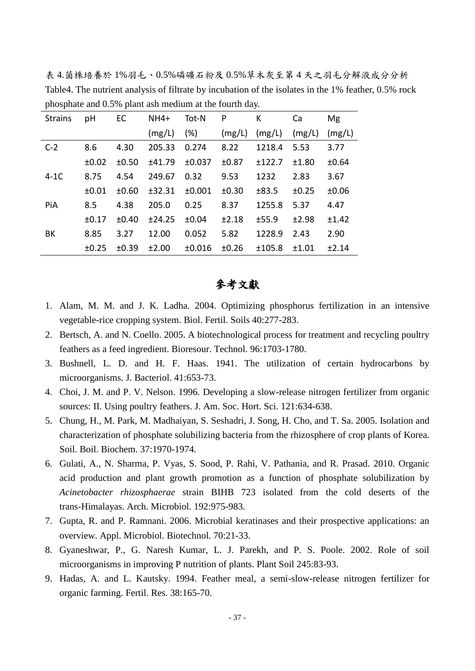表 4.菌株培養於 1%羽毛、0.5%磷礦石粉及 0.5%草木灰至第 4 天之羽毛分解液成分分析 Table4. The nutrient analysis of filtrate by incubation of the isolates in the 1% feather, 0.5% rock phosphate and 0.5% plant ash medium at the fourth day.

| <b>Strains</b> | pH    | EC    | $NH4+$ | Tot-N  | P      | К      | Ca     | Mg      |
|----------------|-------|-------|--------|--------|--------|--------|--------|---------|
|                |       |       | (mg/L) | (%)    | (mg/L) | (mg/L) | (mg/L) | (mg/L)  |
| $C-2$          | 8.6   | 4.30  | 205.33 | 0.274  | 8.22   | 1218.4 | 5.53   | 3.77    |
|                | ±0.02 | ±0.50 | ±41.79 | ±0.037 | ±0.87  | ±122.7 | ±1.80  | ±0.64   |
| $4-1C$         | 8.75  | 4.54  | 249.67 | 0.32   | 9.53   | 1232   | 2.83   | 3.67    |
|                | ±0.01 | ±0.60 | ±32.31 | ±0.001 | ±0.30  | ±83.5  | ±0.25  | ±0.06   |
| PiA            | 8.5   | 4.38  | 205.0  | 0.25   | 8.37   | 1255.8 | 5.37   | 4.47    |
|                | ±0.17 | ±0.40 | ±24.25 | ±0.04  | ±2.18  | ±55.9  | ±2.98  | $+1.42$ |
| BK             | 8.85  | 3.27  | 12.00  | 0.052  | 5.82   | 1228.9 | 2.43   | 2.90    |
|                | ±0.25 | ±0.39 | ±2.00  | ±0.016 | ±0.26  | ±105.8 | ±1.01  | ±2.14   |

# 參考文獻

- 1. Alam, M. M. and J. K. Ladha. 2004. Optimizing phosphorus fertilization in an intensive vegetable-rice cropping system. Biol. Fertil. Soils 40:277-283.
- 2. Bertsch, A. and N. Coello. 2005. A biotechnological process for treatment and recycling poultry feathers as a feed ingredient. Bioresour. Technol. 96:1703-1780.
- 3. Bushnell, L. D. and H. F. Haas. 1941. The utilization of certain hydrocarbons by microorganisms. J. Bacteriol. 41:653-73.
- 4. Choi, J. M. and P. V. Nelson. 1996. Developing a slow-release nitrogen fertilizer from organic sources: II. Using poultry feathers. J. Am. Soc. Hort. Sci. 121:634-638.
- 5. Chung, H., M. Park, M. Madhaiyan, S. Seshadri, J. Song, H. Cho, and T. Sa. 2005. Isolation and characterization of phosphate solubilizing bacteria from the rhizosphere of crop plants of Korea. Soil. Boil. Biochem. 37:1970-1974.
- 6. Gulati, A., N. Sharma, P. Vyas, S. Sood, P. Rahi, V. Pathania, and R. Prasad. 2010. Organic acid production and plant growth promotion as a function of phosphate solubilization by *Acinetobacter rhizosphaerae* strain BIHB 723 isolated from the cold deserts of the trans-Himalayas. Arch. Microbiol. 192:975-983.
- 7. Gupta, R. and P. Ramnani. 2006. Microbial keratinases and their prospective applications: an overview. Appl. Microbiol. Biotechnol. 70:21-33.
- 8. Gyaneshwar, P., G. Naresh Kumar, L. J. Parekh, and P. S. Poole. 2002. Role of soil microorganisms in improving P nutrition of plants. Plant Soil 245:83-93.
- 9. Hadas, A. and L. Kautsky. 1994. Feather meal, a semi-slow-release nitrogen fertilizer for organic farming. Fertil. Res. 38:165-70.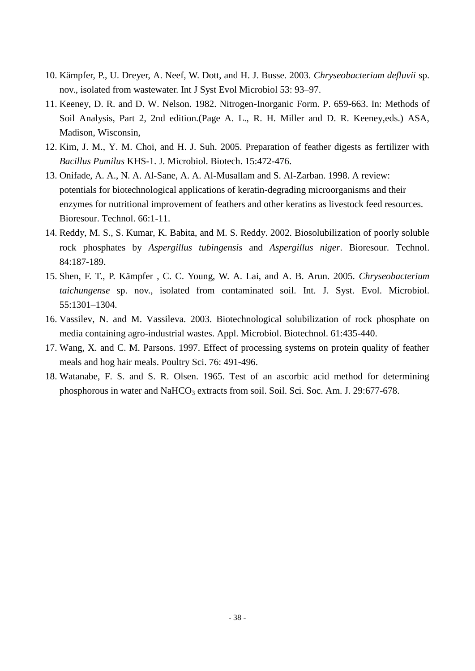- 10. Kämpfer, P., U. Dreyer, A. Neef, W. Dott, and H. J. Busse. 2003. *Chryseobacterium defluvii* sp. nov., isolated from wastewater. Int J Syst Evol Microbiol 53: 93–97.
- 11. Keeney, D. R. and D. W. Nelson. 1982. Nitrogen-Inorganic Form. P. 659-663. In: Methods of Soil Analysis, Part 2, 2nd edition.(Page A. L., R. H. Miller and D. R. Keeney,eds.) ASA, Madison, Wisconsin,
- 12. Kim, J. M., Y. M. Choi, and H. J. Suh. 2005. Preparation of feather digests as fertilizer with *Bacillus Pumilus* KHS-1. J. Microbiol. Biotech. 15:472-476.
- 13. Onifade, A. A., N. A. Al-Sane, A. A. Al-Musallam and S. Al-Zarban. 1998. A review: potentials for biotechnological applications of keratin-degrading microorganisms and their enzymes for nutritional improvement of feathers and other keratins as livestock feed resources. Bioresour. Technol. 66:1-11.
- 14. Reddy, M. S., S. Kumar, K. Babita, and M. S. Reddy. 2002. Biosolubilization of poorly soluble rock phosphates by *Aspergillus tubingensis* and *Aspergillus niger*. Bioresour. Technol. 84:187-189.
- 15. Shen, F. T., P. Kämpfer , C. C. Young, W. A. Lai, and A. B. Arun. 2005. *Chryseobacterium taichungense* sp. nov., isolated from contaminated soil. Int. J. Syst. Evol. Microbiol. 55:1301–1304.
- 16. Vassilev, N. and M. Vassileva. 2003. Biotechnological solubilization of rock phosphate on media containing agro-industrial wastes. Appl. Microbiol. Biotechnol. 61:435-440.
- 17. Wang, X. and C. M. Parsons. 1997. Effect of processing systems on protein quality of feather meals and hog hair meals. Poultry Sci. 76: 491-496.
- 18. Watanabe, F. S. and S. R. Olsen. 1965. Test of an ascorbic acid method for determining phosphorous in water and NaHCO<sub>3</sub> extracts from soil. Soil. Sci. Soc. Am. J. 29:677-678.